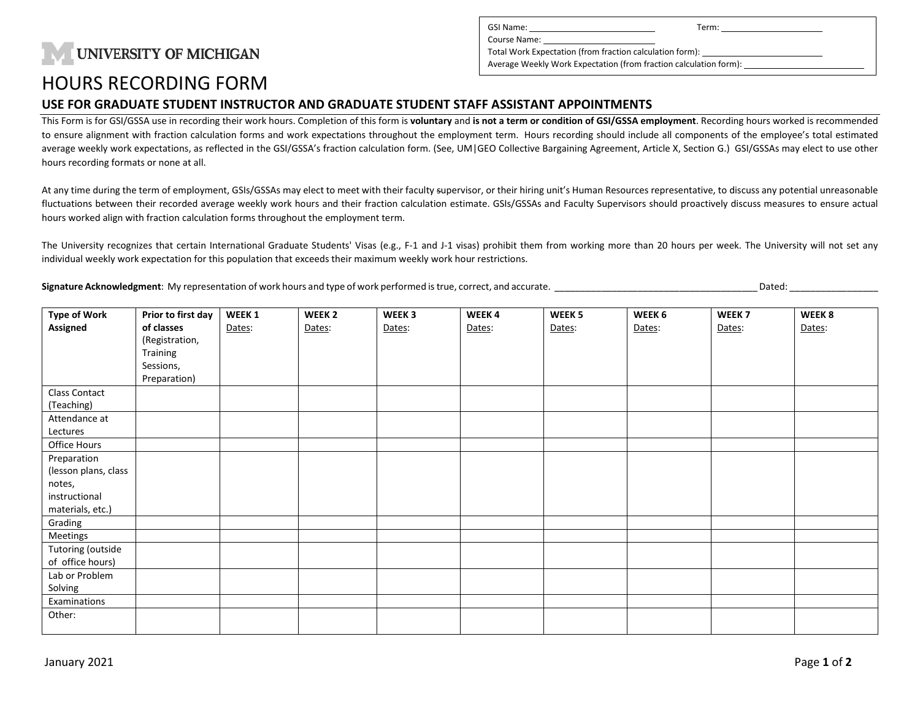## **UNIVERSITY OF MICHIGAN**

| GSI Name:                                                         | Term: |  |  |  |  |  |
|-------------------------------------------------------------------|-------|--|--|--|--|--|
| Course Name:                                                      |       |  |  |  |  |  |
| Total Work Expectation (from fraction calculation form):          |       |  |  |  |  |  |
| Average Weekly Work Expectation (from fraction calculation form): |       |  |  |  |  |  |
|                                                                   |       |  |  |  |  |  |

### HOURS RECORDING FORM

#### **USE FOR GRADUATE STUDENT INSTRUCTOR AND GRADUATE STUDENT STAFF ASSISTANT APPOINTMENTS**

This Form is for GSI/GSSA use in recording their work hours. Completion of this form is **voluntary** and **is not a term or condition of GSI/GSSA employment**. Recording hours worked is recommended to ensure alignment with fraction calculation forms and work expectations throughout the employment term. Hours recording should include all components of the employee's total estimated average weekly work expectations, as reflected in the GSI/GSSA's fraction calculation form. (See, UM|GEO Collective Bargaining Agreement, Article X, Section G.) GSI/GSSAs may elect to use other hours recording formats or none at all.

At any time during the term of employment, GSIs/GSSAs may elect to meet with their faculty supervisor, or their hiring unit's Human Resources representative, to discuss any potential unreasonable fluctuations between their recorded average weekly work hours and their fraction calculation estimate. GSIs/GSSAs and Faculty Supervisors should proactively discuss measures to ensure actual hours worked align with fraction calculation forms throughout the employment term.

The University recognizes that certain International Graduate Students' Visas (e.g., F-1 and J-1 visas) prohibit them from working more than 20 hours per week. The University will not set any individual weekly work expectation for this population that exceeds their maximum weekly work hour restrictions.

**Signature Acknowledgment**: My representation of work hours and type of work performed is true, correct, and accurate. \_\_\_\_\_\_\_\_\_\_\_\_\_\_\_\_\_\_\_\_\_\_\_\_\_\_\_\_\_\_\_\_\_\_\_\_\_\_\_ Dated: \_\_\_\_\_\_\_\_\_\_\_\_\_\_\_\_\_

| <b>Type of Work</b>  | Prior to first day | WEEK 1 | WEEK <sub>2</sub> | WEEK <sub>3</sub> | WEEK4  | WEEK <sub>5</sub> | WEEK 6 | WEEK <sub>7</sub> | WEEK 8 |
|----------------------|--------------------|--------|-------------------|-------------------|--------|-------------------|--------|-------------------|--------|
| Assigned             | of classes         | Dates: | Dates:            | Dates:            | Dates: | Dates:            | Dates: | Dates:            | Dates: |
|                      | (Registration,     |        |                   |                   |        |                   |        |                   |        |
|                      | Training           |        |                   |                   |        |                   |        |                   |        |
|                      | Sessions,          |        |                   |                   |        |                   |        |                   |        |
|                      | Preparation)       |        |                   |                   |        |                   |        |                   |        |
| Class Contact        |                    |        |                   |                   |        |                   |        |                   |        |
| (Teaching)           |                    |        |                   |                   |        |                   |        |                   |        |
| Attendance at        |                    |        |                   |                   |        |                   |        |                   |        |
| Lectures             |                    |        |                   |                   |        |                   |        |                   |        |
| Office Hours         |                    |        |                   |                   |        |                   |        |                   |        |
| Preparation          |                    |        |                   |                   |        |                   |        |                   |        |
| (lesson plans, class |                    |        |                   |                   |        |                   |        |                   |        |
| notes,               |                    |        |                   |                   |        |                   |        |                   |        |
| instructional        |                    |        |                   |                   |        |                   |        |                   |        |
| materials, etc.)     |                    |        |                   |                   |        |                   |        |                   |        |
| Grading              |                    |        |                   |                   |        |                   |        |                   |        |
| Meetings             |                    |        |                   |                   |        |                   |        |                   |        |
| Tutoring (outside    |                    |        |                   |                   |        |                   |        |                   |        |
| of office hours)     |                    |        |                   |                   |        |                   |        |                   |        |
| Lab or Problem       |                    |        |                   |                   |        |                   |        |                   |        |
| Solving              |                    |        |                   |                   |        |                   |        |                   |        |
| Examinations         |                    |        |                   |                   |        |                   |        |                   |        |
| Other:               |                    |        |                   |                   |        |                   |        |                   |        |
|                      |                    |        |                   |                   |        |                   |        |                   |        |